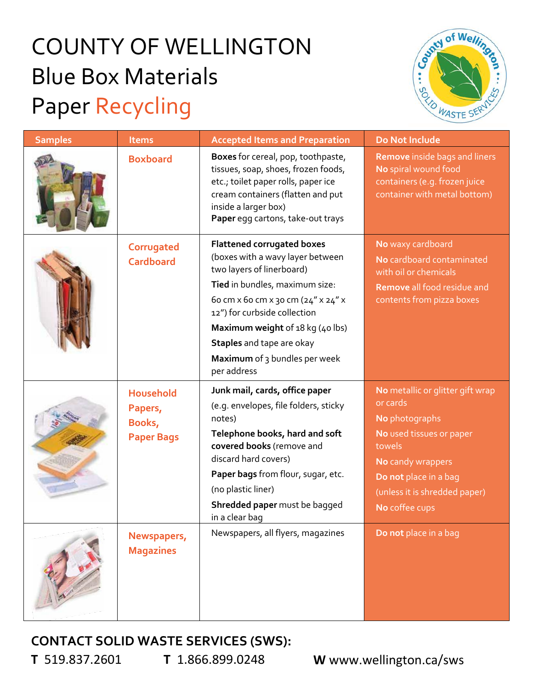## COUNTY OF WELLINGTON Blue Box Materials Paper Recycling



| <b>Samples</b> | <b>Items</b>                                               | <b>Accepted Items and Preparation</b>                                                                                                                                                                                                                                                                                       | Do Not Include                                                                                                                                                                                        |
|----------------|------------------------------------------------------------|-----------------------------------------------------------------------------------------------------------------------------------------------------------------------------------------------------------------------------------------------------------------------------------------------------------------------------|-------------------------------------------------------------------------------------------------------------------------------------------------------------------------------------------------------|
|                | <b>Boxboard</b>                                            | Boxes for cereal, pop, toothpaste,<br>tissues, soap, shoes, frozen foods,<br>etc.; toilet paper rolls, paper ice<br>cream containers (flatten and put<br>inside a larger box)<br>Paper egg cartons, take-out trays                                                                                                          | <b>Remove</b> inside bags and liners<br>No spiral wound food<br>containers (e.g. frozen juice<br>container with metal bottom)                                                                         |
|                | Corrugated<br><b>Cardboard</b>                             | <b>Flattened corrugated boxes</b><br>(boxes with a wavy layer between<br>two layers of linerboard)<br>Tied in bundles, maximum size:<br>60 cm x 60 cm x 30 cm (24" x 24" x<br>12") for curbside collection<br>Maximum weight of 18 kg (40 lbs)<br>Staples and tape are okay<br>Maximum of 3 bundles per week<br>per address | No waxy cardboard<br>No cardboard contaminated<br>with oil or chemicals<br>Remove all food residue and<br>contents from pizza boxes                                                                   |
|                | <b>Household</b><br>Papers,<br>Books,<br><b>Paper Bags</b> | Junk mail, cards, office paper<br>(e.g. envelopes, file folders, sticky<br>notes)<br>Telephone books, hard and soft<br>covered books (remove and<br>discard hard covers)<br>Paper bags from flour, sugar, etc.<br>(no plastic liner)<br>Shredded paper must be bagged<br>in a clear bag                                     | No metallic or glitter gift wrap<br>or cards<br>No photographs<br>No used tissues or paper<br>towels<br>No candy wrappers<br>Do not place in a bag<br>(unless it is shredded paper)<br>No coffee cups |
|                | Newspapers,<br><b>Magazines</b>                            | Newspapers, all flyers, magazines                                                                                                                                                                                                                                                                                           | Do not place in a bag                                                                                                                                                                                 |

## **CONTACT SOLID WASTE SERVICES (SWS):**